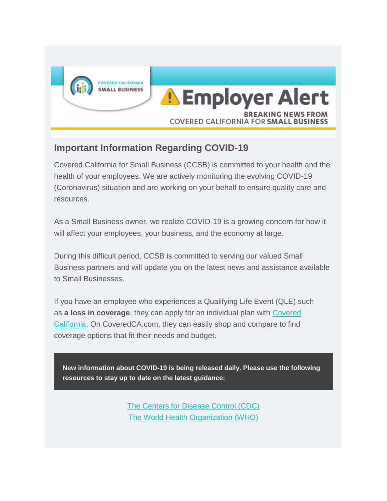

## **Important Information Regarding COVID-19**

Covered California for Small Business (CCSB) is committed to your health and the health of your employees. We are actively monitoring the evolving COVID-19 (Coronavirus) situation and are working on your behalf to ensure quality care and resources.

As a Small Business owner, we realize COVID-19 is a growing concern for how it will affect your employees, your business, and the economy at large.

During this difficult period, CCSB is committed to serving our valued Small Business partners and will update you on the latest news and assistance available to Small Businesses.

If you have an employee who experiences a Qualifying Life Event (QLE) such as **a loss in coverage**, they can apply for an individual plan with [Covered](https://www.coveredca.com/individuals-and-families/getting-covered/special-enrollment/)  [California.](https://www.coveredca.com/individuals-and-families/getting-covered/special-enrollment/) On CoveredCA.com, they can easily shop and compare to find coverage options that fit their needs and budget.

**New information about COVID-19 is being released daily. Please use the following resources to stay up to date on the latest guidance:**

> [The Centers for Disease Control \(CDC\)](https://www.cdc.gov/) [The World Health Organization \(WHO\)](https://www.who.int/)